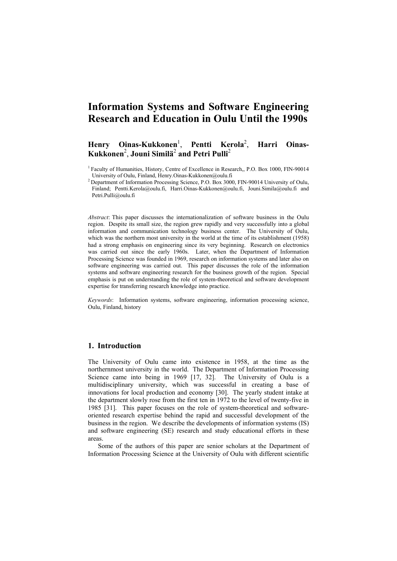# **Information Systems and Software Engineering Research and Education in Oulu Until the 1990s**

#### **Henry Oinas-Kukkonen**<sup>1</sup> , **Pentti Kerola**<sup>2</sup> , **Harri Oinas-Kukkonen**<sup>2</sup> , **Jouni Similä**<sup>2</sup> **and Petri Pulli**<sup>2</sup>

<sup>1</sup> Faculty of Humanities, History, Centre of Excellence in Research,, P.O. Box 1000, FIN-90014

University of Oulu, Finland, Henry.Oinas-Kukkonen@oulu.fi<br>
<sup>2</sup> Department of Information Processing Science, P.O. Box 3000, FIN-90014 University of Oulu, Finland; Pentti.Kerola@oulu.fi, Harri.Oinas-Kukkonen@oulu.fi, Jouni.Simila@oulu.fi and Petri.Pulli@oulu.fi

*Abstract*: This paper discusses the internationalization of software business in the Oulu region. Despite its small size, the region grew rapidly and very successfully into a global information and communication technology business center. The University of Oulu, which was the northern most university in the world at the time of its establishment (1958) had a strong emphasis on engineering since its very beginning. Research on electronics was carried out since the early 1960s. Later, when the Department of Information Processing Science was founded in 1969, research on information systems and later also on software engineering was carried out. This paper discusses the role of the information systems and software engineering research for the business growth of the region. Special emphasis is put on understanding the role of system-theoretical and software development expertise for transferring research knowledge into practice.

*Keywords*: Information systems, software engineering, information processing science, Oulu, Finland, history

## **1. Introduction**

The University of Oulu came into existence in 1958, at the time as the northernmost university in the world. The Department of Information Processing Science came into being in 1969 [17, 32]. The University of Oulu is a multidisciplinary university, which was successful in creating a base of innovations for local production and economy [30]. The yearly student intake at the department slowly rose from the first ten in 1972 to the level of twenty-five in 1985 [31]. This paper focuses on the role of system-theoretical and softwareoriented research expertise behind the rapid and successful development of the business in the region. We describe the developments of information systems (IS) and software engineering (SE) research and study educational efforts in these areas.

<span id="page-0-5"></span><span id="page-0-4"></span><span id="page-0-3"></span><span id="page-0-2"></span><span id="page-0-1"></span><span id="page-0-0"></span>Some of the authors of this paper are senior scholars at the Department of Information Processing Science at the University of Oulu with different scientific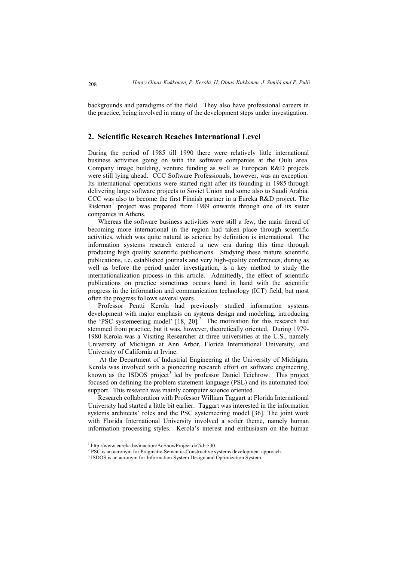backgrounds and paradigms of the field. They also have professional careers in the practice, being involved in many of the development steps under investigation.

## **2. Scientific Research Reaches International Level**

During the period of 1985 till 1990 there were relatively little international business activities going on with the software companies at the Oulu area. Company image building, venture funding as well as European R&D projects were still lying ahead. CCC Software Professionals, however, was an exception. Its international operations were started right after its founding in 1985 through delivering large software projects to Soviet Union and some also to Saudi Arabia. CCC was also to become the first Finnish partner in a Eureka R&D project. The Riskman<sup>[1](#page-0-0)</sup> project was prepared from 1989 onwards through one of its sister companies in Athens.

Whereas the software business activities were still a few, the main thread of becoming more international in the region had taken place through scientific activities, which was quite natural as science by definition is international. The information systems research entered a new era during this time through producing high quality scientific publications. Studying these mature scientific publications, i.e. established journals and very high-quality conferences, during as well as before the period under investigation, is a key method to study the internationalization process in this article. Admittedly, the effect of scientific publications on practice sometimes occurs hand in hand with the scientific progress in the information and communication technology (ICT) field, but most often the progress follows several years.

Professor Pentti Kerola had previously studied information systems development with major emphasis on systems design and modeling, introducing the 'PSC systemeering model'  $[18, 20]$  $[18, 20]$  $[18, 20]$ .<sup>2</sup> The motivation for this research had stemmed from practice, but it was, however, theoretically oriented. During 1979- 1980 Kerola was a Visiting Researcher at three universities at the U.S., namely University of Michigan at Ann Arbor, Florida International University, and University of California at Irvine.

 At the Department of Industrial Engineering at the University of Michigan, Kerola was involved with a pioneering research effort on software engineering, known as the ISDOS project<sup>[3](#page-0-2)</sup> led by professor Daniel Teichrow. This project focused on defining the problem statement language (PSL) and its automated tool support. This research was mainly computer science oriented.

Research collaboration with Professor William Taggart at Florida International University had started a little bit earlier. Taggart was interested in the information systems architects' roles and the PSC systemeering model [36]. The joint work with Florida International University involved a softer theme, namely human information processing styles. Kerola's interest and enthusiasm on the human

<sup>&</sup>lt;sup>1</sup> http://www.eureka.be/inaction/AcShowProject.do?id=530.

<sup>&</sup>lt;sup>2</sup> PSC is an acronym for Pragmatic-Semantic-Constructive systems development approach.

<sup>&</sup>lt;sup>3</sup> ISDOS is an acronym for Information System Design and Optimization System.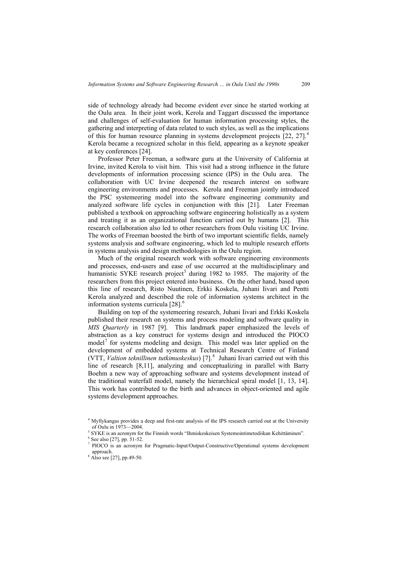side of technology already had become evident ever since he started working at the Oulu area. In their joint work, Kerola and Taggart discussed the importance and challenges of self-evaluation for human information processing styles, the gathering and interpreting of data related to such styles, as well as the implications of this for human resource planning in systems development projects [22, 27].<sup>[4](#page-0-3)</sup> Kerola became a recognized scholar in this field, appearing as a keynote speaker at key conferences [24].

Professor Peter Freeman, a software guru at the University of California at Irvine, invited Kerola to visit him. This visit had a strong influence in the future developments of information processing science (IPS) in the Oulu area. The collaboration with UC Irvine deepened the research interest on software engineering environments and processes. Kerola and Freeman jointly introduced the PSC systemeering model into the software engineering community and analyzed software life cycles in conjunction with this [21]. Later Freeman published a textbook on approaching software engineering holistically as a system and treating it as an organizational function carried out by humans [2]. This research collaboration also led to other researchers from Oulu visiting UC Irvine. The works of Freeman boosted the birth of two important scientific fields, namely systems analysis and software engineering, which led to multiple research efforts in systems analysis and design methodologies in the Oulu region.

Much of the original research work with software engineering environments and processes, end-users and ease of use occurred at the multidisciplinary and humanistic SYKE research project<sup>[5](#page-0-4)</sup> during 1982 to 1985. The majority of the researchers from this project entered into business. On the other hand, based upon this line of research, Risto Nuutinen, Erkki Koskela, Juhani Iivari and Pentti Kerola analyzed and described the role of information systems architect in the information systems curricula [28].[6](#page-0-5)

Building on top of the systemeering research, Juhani Iivari and Erkki Koskela published their research on systems and process modeling and software quality in *MIS Quarterly* in 1987 [9]. This landmark paper emphasized the levels of abstraction as a key construct for systems design and introduced the PIOCO model<sup>[7](#page-0-0)</sup> for systems modeling and design. This model was later applied on the development of embedded systems at Technical Research Centre of Finland (VTT, *Valtion teknillinen tutkimuskeskus*) [7]. $^8$  $^8$  Juhani Iivari carried out with this line of research [8,11], analyzing and conceptualizing in parallel with Barry Boehm a new way of approaching software and systems development instead of the traditional waterfall model, namely the hierarchical spiral model [1, 13, 14]. This work has contributed to the birth and advances in object-oriented and agile systems development approaches.

<sup>4</sup> Myllykangas provides a deep and first-rate analysis of the IPS research carried out at the University of Oulu in 1973—2004.

 $^{5}$  SYKE is an acronym for the Finnish words "Ihmiskeskeisen Systemointimetodiikan Kehittäminen".<br><sup>6</sup> Sea aksa [27] **pp.** 51,52

 $6$  See also [27], pp. 51-52.

<sup>7</sup> PIOCO is an acronym for Pragmatic-Input/Output-Constructive/Operational systems development approach. 8 Also see [27], pp.49-50.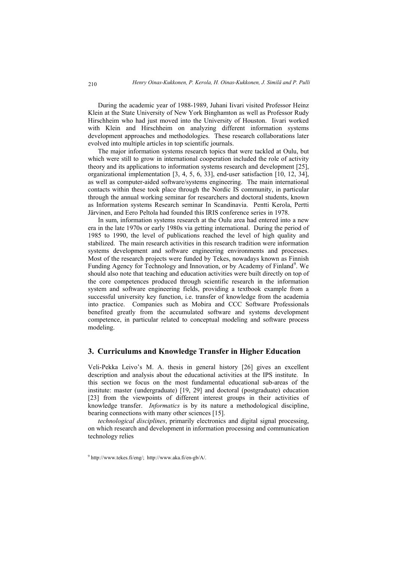During the academic year of 1988-1989, Juhani Iivari visited Professor Heinz Klein at the State University of New York Binghamton as well as Professor Rudy Hirschheim who had just moved into the University of Houston. Iivari worked with Klein and Hirschheim on analyzing different information systems development approaches and methodologies. These research collaborations later evolved into multiple articles in top scientific journals.

The major information systems research topics that were tackled at Oulu, but which were still to grow in international cooperation included the role of activity theory and its applications to information systems research and development [25], organizational implementation [3, 4, 5, 6, 33], end-user satisfaction [10, 12, 34], as well as computer-aided software/systems engineering. The main international contacts within these took place through the Nordic IS community, in particular through the annual working seminar for researchers and doctoral students, known as Information systems Research seminar In Scandinavia. Pentti Kerola, Pertti Järvinen, and Eero Peltola had founded this IRIS conference series in 1978.

In sum, information systems research at the Oulu area had entered into a new era in the late 1970s or early 1980s via getting international. During the period of 1985 to 1990, the level of publications reached the level of high quality and stabilized. The main research activities in this research tradition were information systems development and software engineering environments and processes. Most of the research projects were funded by Tekes, nowadays known as Finnish Funding Agency for Technology and Innovation, or by Academy of Finland<sup>[9](#page-0-2)</sup>. We should also note that teaching and education activities were built directly on top of the core competences produced through scientific research in the information system and software engineering fields, providing a textbook example from a successful university key function, i.e. transfer of knowledge from the academia into practice. Companies such as Mobira and CCC Software Professionals benefited greatly from the accumulated software and systems development competence, in particular related to conceptual modeling and software process modeling.

#### **3. Curriculums and Knowledge Transfer in Higher Education**

Veli-Pekka Leivo's M. A. thesis in general history [26] gives an excellent description and analysis about the educational activities at the IPS institute. In this section we focus on the most fundamental educational sub-areas of the institute: master (undergraduate) [19, 29] and doctoral (postgraduate) education [23] from the viewpoints of different interest groups in their activities of knowledge transfer. *Informatics* is by its nature a methodological discipline, bearing connections with many other sciences [15].

*technological disciplines*, primarily electronics and digital signal processing, on which research and development in information processing and communication technology relies

<sup>9</sup> http://www.tekes.fi/eng/; http://www.aka.fi/en-gb/A/.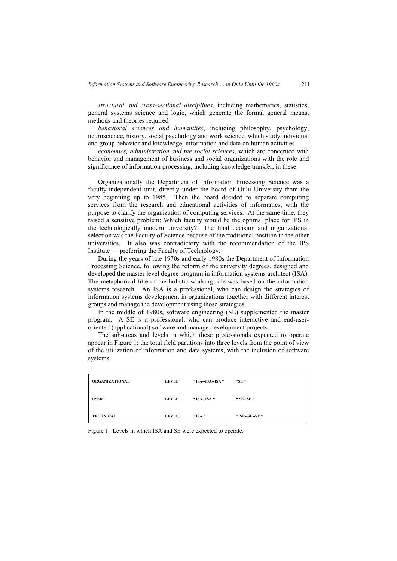*structural and cross-sectional disciplines*, including mathematics, statistics, general systems science and logic, which generate the formal general means, methods and theories required

*behavioral sciences and humanities*, including philosophy, psychology, neuroscience, history, social psychology and work science, which study individual and group behavior and knowledge, information and data on human activities

*economics, administration and the social sciences*, which are concerned with behavior and management of business and social organizations with the role and significance of information processing, including knowledge transfer, in these.

Organizationally the Department of Information Processing Science was a faculty-independent unit, directly under the board of Oulu University from the very beginning up to 1985. Then the board decided to separate computing services from the research and educational activities of informatics, with the purpose to clarify the organization of computing services. At the same time, they raised a sensitive problem: Which faculty would be the optimal place for IPS in the technologically modern university? The final decision and organizational selection was the Faculty of Science because of the traditional position in the other universities. It also was contradictory with the recommendation of the IPS Institute — preferring the Faculty of Technology.

During the years of late 1970s and early 1980s the Department of Information Processing Science, following the reform of the university degrees, designed and developed the master level degree program in information systems architect (ISA). The metaphorical title of the holistic working role was based on the information systems research. An ISA is a professional, who can design the strategies of information systems development in organizations together with different interest groups and manage the development using those strategies.

In the middle of 1980s, software engineering (SE) supplemented the master program. A SE is a professional, who can produce interactive and end-useroriented (applicational) software and manage development projects.

The sub-areas and levels in which these professionals expected to operate appear in Figure 1; the total field partitions into three levels from the point of view of the utilization of information and data systems, with the inclusion of software systems.

| ORGANIZATIONAL   | <b>LEVEL</b> | " ISA--ISA--ISA " | "SE"             |
|------------------|--------------|-------------------|------------------|
| <b>USER</b>      | <b>LEVEL</b> | " ISA--ISA "      | " SE--SE "       |
| <b>TECHNICAL</b> | <b>LEVEL</b> | " ISA "           | $"$ SE-SE-SE $"$ |

Figure 1. Levels in which ISA and SE were expected to operate.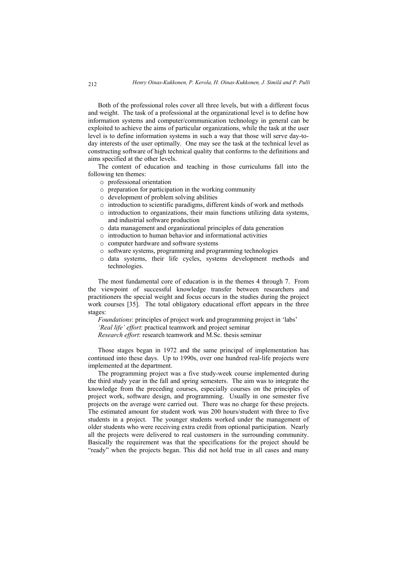Both of the professional roles cover all three levels, but with a different focus and weight. The task of a professional at the organizational level is to define how information systems and computer/communication technology in general can be exploited to achieve the aims of particular organizations, while the task at the user level is to define information systems in such a way that those will serve day-today interests of the user optimally. One may see the task at the technical level as constructing software of high technical quality that conforms to the definitions and aims specified at the other levels.

The content of education and teaching in those curriculums fall into the following ten themes:

- o professional orientation
- o preparation for participation in the working community
- o development of problem solving abilities
- o introduction to scientific paradigms, different kinds of work and methods
- o introduction to organizations, their main functions utilizing data systems, and industrial software production
- o data management and organizational principles of data generation
- o introduction to human behavior and informational activities
- o computer hardware and software systems
- o software systems, programming and programming technologies
- o data systems, their life cycles, systems development methods and technologies.

The most fundamental core of education is in the themes 4 through 7. From the viewpoint of successful knowledge transfer between researchers and practitioners the special weight and focus occurs in the studies during the project work courses [35]. The total obligatory educational effort appears in the three stages:

*Foundations*: principles of project work and programming project in 'labs' *'Real life' effort*: practical teamwork and project seminar *Research effort*: research teamwork and M.Sc. thesis seminar

Those stages began in 1972 and the same principal of implementation has continued into these days. Up to 1990s, over one hundred real-life projects were implemented at the department.

The programming project was a five study-week course implemented during the third study year in the fall and spring semesters. The aim was to integrate the knowledge from the preceding courses, especially courses on the principles of project work, software design, and programming. Usually in one semester five projects on the average were carried out. There was no charge for these projects. The estimated amount for student work was 200 hours/student with three to five students in a project. The younger students worked under the management of older students who were receiving extra credit from optional participation. Nearly all the projects were delivered to real customers in the surrounding community. Basically the requirement was that the specifications for the project should be "ready" when the projects began. This did not hold true in all cases and many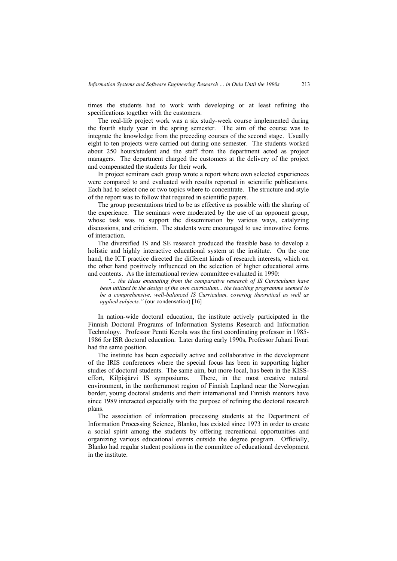times the students had to work with developing or at least refining the specifications together with the customers.

The real-life project work was a six study-week course implemented during the fourth study year in the spring semester. The aim of the course was to integrate the knowledge from the preceding courses of the second stage. Usually eight to ten projects were carried out during one semester. The students worked about 250 hours/student and the staff from the department acted as project managers. The department charged the customers at the delivery of the project and compensated the students for their work.

In project seminars each group wrote a report where own selected experiences were compared to and evaluated with results reported in scientific publications. Each had to select one or two topics where to concentrate. The structure and style of the report was to follow that required in scientific papers.

The group presentations tried to be as effective as possible with the sharing of the experience. The seminars were moderated by the use of an opponent group, whose task was to support the dissemination by various ways, catalyzing discussions, and criticism. The students were encouraged to use innovative forms of interaction.

The diversified IS and SE research produced the feasible base to develop a holistic and highly interactive educational system at the institute. On the one hand, the ICT practice directed the different kinds of research interests, which on the other hand positively influenced on the selection of higher educational aims and contents. As the international review committee evaluated in 1990:

*"... the ideas emanating from the comparative research of IS Curriculums have been utilized in the design of the own curriculum... the teaching programme seemed to be a comprehensive, well-balanced IS Curriculum, covering theoretical as well as applied subjects."* (our condensation) [16]

In nation-wide doctoral education, the institute actively participated in the Finnish Doctoral Programs of Information Systems Research and Information Technology. Professor Pentti Kerola was the first coordinating professor in 1985- 1986 for ISR doctoral education. Later during early 1990s, Professor Juhani Iivari had the same position.

The institute has been especially active and collaborative in the development of the IRIS conferences where the special focus has been in supporting higher studies of doctoral students. The same aim, but more local, has been in the KISSeffort, Kilpisjärvi IS symposiums. There, in the most creative natural environment, in the northernmost region of Finnish Lapland near the Norwegian border, young doctoral students and their international and Finnish mentors have since 1989 interacted especially with the purpose of refining the doctoral research plans.

The association of information processing students at the Department of Information Processing Science, Blanko, has existed since 1973 in order to create a social spirit among the students by offering recreational opportunities and organizing various educational events outside the degree program. Officially, Blanko had regular student positions in the committee of educational development in the institute.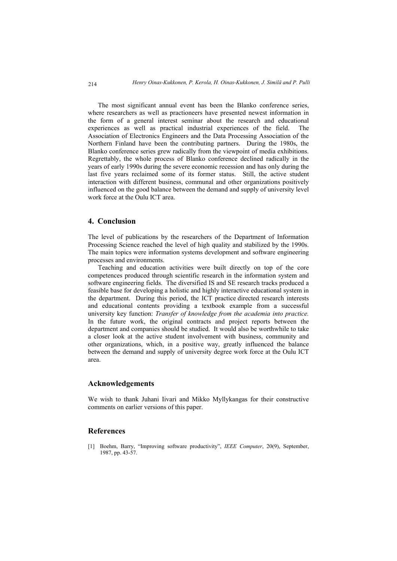The most significant annual event has been the Blanko conference series, where researchers as well as practioneers have presented newest information in the form of a general interest seminar about the research and educational experiences as well as practical industrial experiences of the field. The Association of Electronics Engineers and the Data Processing Association of the Northern Finland have been the contributing partners. During the 1980s, the Blanko conference series grew radically from the viewpoint of media exhibitions. Regrettably, the whole process of Blanko conference declined radically in the years of early 1990s during the severe economic recession and has only during the last five years reclaimed some of its former status. Still, the active student interaction with different business, communal and other organizations positively influenced on the good balance between the demand and supply of university level work force at the Oulu ICT area.

### **4. Conclusion**

The level of publications by the researchers of the Department of Information Processing Science reached the level of high quality and stabilized by the 1990s. The main topics were information systems development and software engineering processes and environments.

Teaching and education activities were built directly on top of the core competences produced through scientific research in the information system and software engineering fields. The diversified IS and SE research tracks produced a feasible base for developing a holistic and highly interactive educational system in the department. During this period, the ICT practice directed research interests and educational contents providing a textbook example from a successful university key function: *Transfer of knowledge from the academia into practice.* In the future work, the original contracts and project reports between the department and companies should be studied. It would also be worthwhile to take a closer look at the active student involvement with business, community and other organizations, which, in a positive way, greatly influenced the balance between the demand and supply of university degree work force at the Oulu ICT area.

## **Acknowledgements**

We wish to thank Juhani Iivari and Mikko Myllykangas for their constructive comments on earlier versions of this paper.

## **References**

[1] Boehm, Barry, "Improving software productivity", *IEEE Computer*, 20(9), September, 1987, pp. 43-57.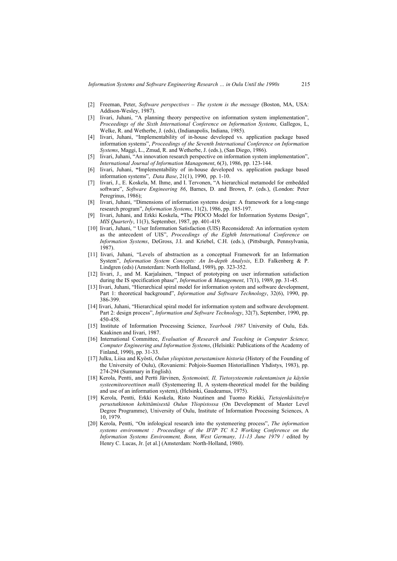- [2] Freeman, Peter, *Software perspectives The system is the message* (Boston, MA, USA: Addison-Wesley, 1987).
- Iivari, Juhani, "A planning theory perspective on information system implementation", *Proceedings of the Sixth International Conference on Information Systems,* Gallegos, L, Welke, R. and Wetherbe, J. (eds), (Indianapolis, Indiana, 1985).
- [4] Iivari, Juhani, "Implementability of in-house developed vs. application package based information systems", *Proceedings of the Seventh International Conference on Information Systems*, Maggi, L., Zmud, R. and Wetherbe, J. (eds.), (San Diego, 1986).
- [5] Iivari, Juhani, "An innovation research perspective on information system implementation", *International Journal of Information Management*, 6(3), 1986, pp. 123-144.
- [6] Iivari, Juhani, **"**Implementability of in-house developed vs. application package based information systems", *Data Base*, 21(1), 1990, pp. 1-10.
- [7] Iivari, J., E. Koskela, M. Ihme, and I. Tervonen, "A hierarchical metamodel for embedded software", *Software Engineering 86*, Barnes, D. and Brown, P. (eds.), (London: Peter Peregrinus, 1986);
- [8] [Iivari, Juhani, "Dimensions of information systems design: A framework for a long-range](http://portal.acm.org/citation.cfm?id=8144&dl=ACM&coll=portal&CFID=14515677&CFTOKEN=49793997)  research program", *Information Systems*[, 11\(2\), 1986, pp. 185-197](http://portal.acm.org/citation.cfm?id=8144&dl=ACM&coll=portal&CFID=14515677&CFTOKEN=49793997).
- [9] Iivari, Juhani, and Erkki Koskela, **"**The PIOCO Model for Information Systems Design", *MIS Quarterly*, 11(3), September, 1987, pp. 401-419.
- [10] Iivari, Juhani, " User Information Satisfaction (UIS) Reconsidered: An information system as the antecedent of UIS", *Proceedings of the Eighth International Conference on Information Systems*, DeGross, J.I. and Kriebel, C.H. (eds.), (Pittsburgh, Pennsylvania, 1987).
- [11] Iivari, Juhani, "Levels of abstraction as a conceptual Framework for an Information System", *Information System Concepts: An In-depth Analysis*, E.D. Falkenberg & P. Lindgren (eds) (Amsterdam: North Holland, 1989), pp. 323-352.
- [12] Iivari, J., and M. Karjalainen, "Impact of prototyping on user information satisfaction during the IS specification phase", *Information & Management*, 17(1), 1989, pp. 31-45.
- [13] Iivari, Juhani, "Hierarchical spiral model for information system and software development, Part 1: theoretical background", *Information and Software Technology*, 32(6), 1990, pp. 386-399.
- [14] Iivari, Juhani, "Hierarchical spiral model for information system and software development. Part 2: design process", *Information and Software Technology*, 32(7), September, 1990, pp. 450-458.
- [15] Institute of Information Processing Science, *Yearbook 1987* University of Oulu, Eds. Kaakinen and Iivari, 1987.
- [16] International Committee, *Evaluation of Research and Teaching in Computer Science, Computer Engineering and Information Systems*, (Helsinki: Publications of the Academy of Finland, 1990), pp. 31-33.
- [17] Julku, Liisa and Kyösti, *Oulun yliopiston perustamisen historia* (History of the Founding of the University of Oulu), (Rovaniemi: Pohjois-Suomen Historiallinen Yhdistys, 1983), pp. 274-294 (Summary in English).
- [18] Kerola, Pentti, and Pertti Järvinen, *Systemointi, II, Tietosysteemin rakentamisen ja käytön systeemiteoreettinen malli* (Systemeering II, A system-theoretical model for the building and use of an information system), (Helsinki, Gaudeamus, 1975).
- [19] Kerola, Pentti, Erkki Koskela, Risto Nuutinen and Tuomo Riekki, *Tietojenkäsittelyn perustutkinnon kehittämisestä Oulun Yliopistossa* (On Development of Master Level Degree Programme), University of Oulu, Institute of Information Processing Sciences, A 10, 1979.
- [20] Kerola, Pentti, "On infological research into the systemeering process", *The information systems environment : Proceedings of the IFIP TC 8.2 Working Conference on the Information Systems Environment, Bonn, West Germany, 11-13 June 1979* / edited by Henry C. Lucas, Jr. [et al.] (Amsterdam: North-Holland, 1980).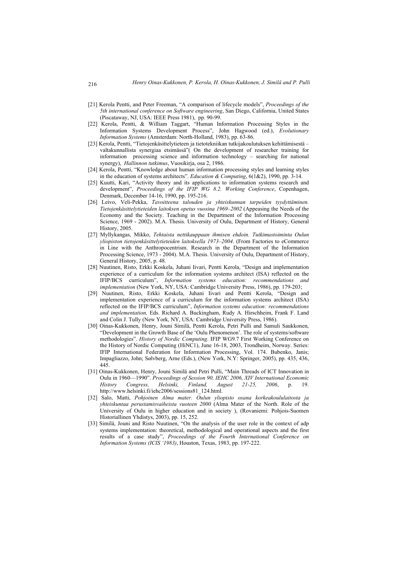- [21] Kerola Pentti, and Peter Freeman, "A comparison of lifecycle models", *Proceedings of the 5th international conference on Software engineering*, San Diego, California, United States
- (Piscataway, NJ, USA: IEEE Press 1981), pp. 90-99.<br>[22] Kerola, Pentti, & William Taggart, "Human In "Human Information Processing Styles in the Information Systems Development Process", John Hagwood (ed.), *Evolutionary Information Systems* (Amsterdam: North-Holland, 1983), pp. 63-86.
- [23] Kerola, Pentti, "Tietojenkäsittelytieteen ja tietotekniikan tutkijakoulutuksen kehittämisestä valtakunnallista synergiaa etsimässä"( On the development of researcher training for information processing science and information technology – searching for national synergy), *Hallinnon tutkimus*, Vuosikirja, osa 2, 1986.
- [24] Kerola, Pentti, "Knowledge about human information processing styles and learning styles in the education of systems architects". *Education & Computing*, 6(1&2), 1990, pp. 3-14.
- [25] Kuutti, Kari, "Activity theory and its applications to information systems research and development", *Proceedings of the IFIP WG 8.2. Working Conference*, Copenhagen, Denmark, December 14-16, 1990, pp. 195-216.
- [26] Leivo, Veli-Pekka, *Tavoitteena talouden ja yhteiskunnan tarpeiden tyydyttäminen. Tietojenkäsittelytieteiden laitoksen opetus vuosina 1969–2002* (Appeasing the Needs of the Economy and the Society. Teaching in the Department of the Information Processing Science, 1969 - 2002). M.A. Thesis. University of Oulu, Department of History, General History, 2005.
- [27] Myllykangas, Mikko, *Tehtaista nettikauppaan ihmisen ehdoin. Tutkimustoiminta Oulun yliopiston tietojenkäsittelytieteiden laitoksella 1973–2004*. (From Factories to eCommerce in Line with the Anthropocentrism. Research in the Department of the Information Processing Science, 1973 - 2004). M.A. Thesis. University of Oulu, Department of History, General History, 2005, p. 48.
- [28] Nuutinen, Risto, Erkki Koskela, Juhani Iivari, Pentti Kerola, "Design and implementation experience of a curriculum for the information systems architect (ISA) reflected on the IFIP/BCS curriculum", *Information systems education: recommendations and implementation* (New York, NY, USA: Cambridge University Press, 1986), pp. 179-203;
- [29] Nuutinen, Risto, Erkki Koskela, Juhani Iivari and Pentti Kerola, "Design and implementation experience of a curriculum for the information systems architect (ISA) reflected on the IFIP/BCS curriculum", *Information systems education: recommendations and implementation,* Eds. Richard A. Buckingham, Rudy A. Hirschheim, Frank F. Land and Colin J. Tully (New York, NY, USA: Cambridge University Press, 1986).
- [30] Oinas-Kukkonen, Henry, Jouni Similä, Pentti Kerola, Petri Pulli and Samuli Saukkonen, "Development in the Growth Base of the 'Oulu Phenomenon'. The role of systems/software methodologies". *History of Nordic Computing*. IFIP WG9.7 First Working Conference on the History of Nordic Computing (HiNC1), June 16-18, 2003, Trondheim, Norway. Series: IFIP International Federation for Information Processing, Vol. 174. Bubenko, Janis; Impagliazzo, John; Sølvberg, Arne (Eds.), (New York, N.Y: Springer, 2005), pp. 435, 436, 445.
- [31] Oinas-Kukkonen, Henry, Jouni Similä and Petri Pulli, "Main Threads of ICT Innovation in Oulu in 1960—1990". *Proceedings of Session 90, IEHC 2006, XIV International Economic History Congress, Helsinki, Finland, August 21-25, 2006*, p. 19. http://www.helsinki.fi/iehc2006/sessions81\_124.html.
- [32] Salo, Matti, *Pohjoinen Alma mater. Oulun yliopisto osana korkeakoululaitosta ja yhteiskuntaa perustamisvaiheista vuoteen 2000* (Alma Mater of the North. Role of the University of Oulu in higher education and in society ), (Rovaniemi: Pohjois-Suomen Historiallinen Yhdistys, 2003), pp. 15, 252.
- [33] Similä, Jouni and Risto Nuutinen, "On the analysis of the user role in the context of adp systems implementation: theoretical, methodological and operational aspects and the first results of a case study", *Proceedings of the Fourth International Conference on Information Systems (ICIS '1983)*, Houston, Texas, 1983, pp. 197-222.